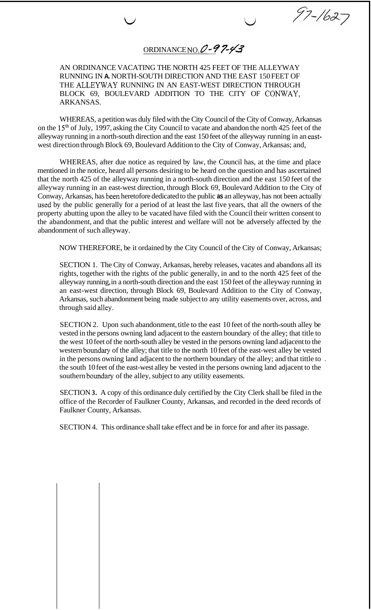ORDINANCE NO.@ *4%/3* 

 $\bigcup$ 

97-1627

AN ORDINANCE VACATING THE NORTH 425 FEET OF THE ALLEYWAY RUNNING IN **A.** NORTH-SOUTH DIRECTION AND THE EAST 150 FEET OF THE ALLEYWAY RUNNING IN AN EAST-WEST DIRECTION THROUGH BLOCK 69, BOULEVARD ADDITION TO THE CITY OF CONWAY, ARKANSAS.

WHEREAS, a petition was duly filed with the City Council of the City of Conway, Arkansas on the 15<sup>th</sup> of July, 1997, asking the City Council to vacate and abandon the north 425 feet of the alleyway running in a north-south direction and the east 150 feet of the alleyway running in an eastwest direction through Block 69, Boulevard Addition to the City of Conway, Arkansas; and,

WHEREAS, after due notice as required by law, the Council has, at the time and place mentioned in the notice, heard all persons desiring to be heard on the question and has ascertained that the north 425 of the alleyway running in a north-south direction and the east 150 feet of the alleyway running in an east-west direction, through Block 69, Boulevard Addition to the City of Conway, Arkansas, has been heretofore dedicated to the public **as** an alleyway, has not been actually used by the public generally for a period of at least the last five years, that all the owners of the property abutting upon the alley to be vacated have filed with the Council their written consent to the abandonment, and that the public interest and welfare will not be adversely affected by the abandonment of such alleyway.

NOW THEREFORE, be it ordained by the City Council of the City of Conway, Arkansas;

SECTION 1. The City of Conway, Arkansas, hereby releases, vacates and abandons all its rights, together with the rights of the public generally, in and to the north 425 feet of the alleyway running, in a north-south direction and the east 150 feet of the alleyway running in an east-west direction, through Block 69, Boulevard Addition to the City of Conway, Arkansas, such abandonment being made subject to any utility easements over, across, and through said alley.

SECTION 2. Upon such abandonment, title to the east 10 feet of the north-south alley be vested in the persons owning land adjacent to the eastern boundary of the alley; that title to the west 10 feet of the north-south alley be vested in the persons owning land adjacent to the western boundary of the alley; that title to the north 10 feet of the east-west alley be vested in the persons owning land adjacent to the northern boundary of the alley; and that tittle to . the south 10 feet of the east-west alley be vested in the persons owning land adjacent to the southern boundary of the alley, subject to any utility easements.

SECTION **3.** A copy of this ordinance duly certified by the City Clerk shall be filed in the office of the Recorder of Faulkner County, Arkansas, and recorded in the deed records of Faulkner County, Arkansas.

SECTION 4. This ordinance shall take effect and be in force for and after its passage.